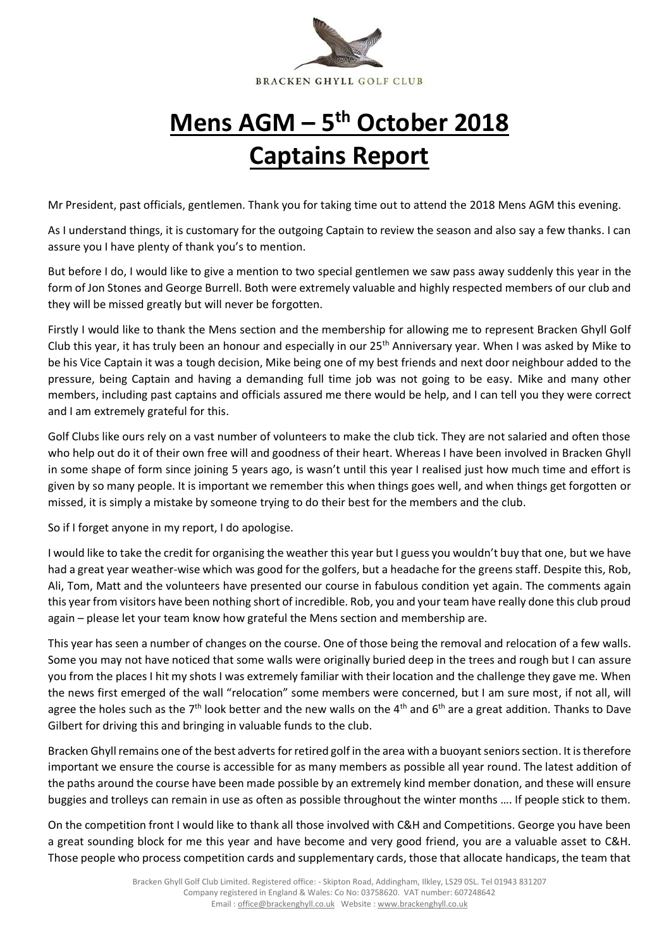

## **Mens AGM – 5 th October 2018 Captains Report**

Mr President, past officials, gentlemen. Thank you for taking time out to attend the 2018 Mens AGM this evening.

As I understand things, it is customary for the outgoing Captain to review the season and also say a few thanks. I can assure you I have plenty of thank you's to mention.

But before I do, I would like to give a mention to two special gentlemen we saw pass away suddenly this year in the form of Jon Stones and George Burrell. Both were extremely valuable and highly respected members of our club and they will be missed greatly but will never be forgotten.

Firstly I would like to thank the Mens section and the membership for allowing me to represent Bracken Ghyll Golf Club this year, it has truly been an honour and especially in our  $25<sup>th</sup>$  Anniversary year. When I was asked by Mike to be his Vice Captain it was a tough decision, Mike being one of my best friends and next door neighbour added to the pressure, being Captain and having a demanding full time job was not going to be easy. Mike and many other members, including past captains and officials assured me there would be help, and I can tell you they were correct and I am extremely grateful for this.

Golf Clubs like ours rely on a vast number of volunteers to make the club tick. They are not salaried and often those who help out do it of their own free will and goodness of their heart. Whereas I have been involved in Bracken Ghyll in some shape of form since joining 5 years ago, is wasn't until this year I realised just how much time and effort is given by so many people. It is important we remember this when things goes well, and when things get forgotten or missed, it is simply a mistake by someone trying to do their best for the members and the club.

So if I forget anyone in my report, I do apologise.

I would like to take the credit for organising the weather this year but I guess you wouldn't buy that one, but we have had a great year weather-wise which was good for the golfers, but a headache for the greens staff. Despite this, Rob, Ali, Tom, Matt and the volunteers have presented our course in fabulous condition yet again. The comments again this year from visitors have been nothing short of incredible. Rob, you and your team have really done this club proud again – please let your team know how grateful the Mens section and membership are.

This year has seen a number of changes on the course. One of those being the removal and relocation of a few walls. Some you may not have noticed that some walls were originally buried deep in the trees and rough but I can assure you from the places I hit my shots I was extremely familiar with their location and the challenge they gave me. When the news first emerged of the wall "relocation" some members were concerned, but I am sure most, if not all, will agree the holes such as the 7<sup>th</sup> look better and the new walls on the 4<sup>th</sup> and 6<sup>th</sup> are a great addition. Thanks to Dave Gilbert for driving this and bringing in valuable funds to the club.

Bracken Ghyll remains one of the best adverts for retired golf in the area with a buoyant seniors section. It is therefore important we ensure the course is accessible for as many members as possible all year round. The latest addition of the paths around the course have been made possible by an extremely kind member donation, and these will ensure buggies and trolleys can remain in use as often as possible throughout the winter months …. If people stick to them.

On the competition front I would like to thank all those involved with C&H and Competitions. George you have been a great sounding block for me this year and have become and very good friend, you are a valuable asset to C&H. Those people who process competition cards and supplementary cards, those that allocate handicaps, the team that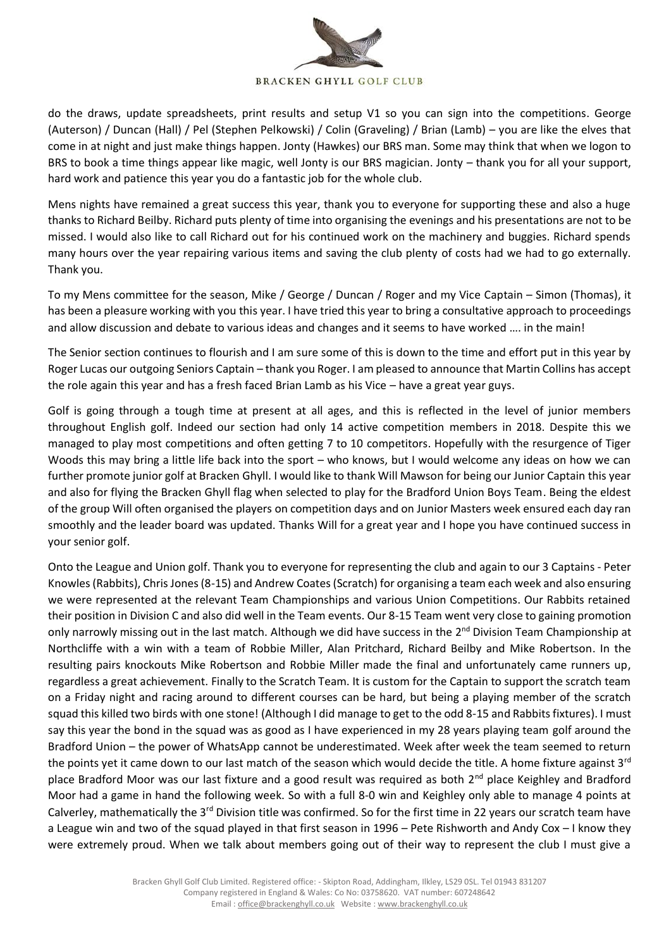

do the draws, update spreadsheets, print results and setup V1 so you can sign into the competitions. George (Auterson) / Duncan (Hall) / Pel (Stephen Pelkowski) / Colin (Graveling) / Brian (Lamb) – you are like the elves that come in at night and just make things happen. Jonty (Hawkes) our BRS man. Some may think that when we logon to BRS to book a time things appear like magic, well Jonty is our BRS magician. Jonty – thank you for all your support, hard work and patience this year you do a fantastic job for the whole club.

Mens nights have remained a great success this year, thank you to everyone for supporting these and also a huge thanks to Richard Beilby. Richard puts plenty of time into organising the evenings and his presentations are not to be missed. I would also like to call Richard out for his continued work on the machinery and buggies. Richard spends many hours over the year repairing various items and saving the club plenty of costs had we had to go externally. Thank you.

To my Mens committee for the season, Mike / George / Duncan / Roger and my Vice Captain – Simon (Thomas), it has been a pleasure working with you this year. I have tried this year to bring a consultative approach to proceedings and allow discussion and debate to various ideas and changes and it seems to have worked …. in the main!

The Senior section continues to flourish and I am sure some of this is down to the time and effort put in this year by Roger Lucas our outgoing Seniors Captain – thank you Roger. I am pleased to announce that Martin Collins has accept the role again this year and has a fresh faced Brian Lamb as his Vice – have a great year guys.

Golf is going through a tough time at present at all ages, and this is reflected in the level of junior members throughout English golf. Indeed our section had only 14 active competition members in 2018. Despite this we managed to play most competitions and often getting 7 to 10 competitors. Hopefully with the resurgence of Tiger Woods this may bring a little life back into the sport – who knows, but I would welcome any ideas on how we can further promote junior golf at Bracken Ghyll. I would like to thank Will Mawson for being our Junior Captain this year and also for flying the Bracken Ghyll flag when selected to play for the Bradford Union Boys Team. Being the eldest of the group Will often organised the players on competition days and on Junior Masters week ensured each day ran smoothly and the leader board was updated. Thanks Will for a great year and I hope you have continued success in your senior golf.

Onto the League and Union golf. Thank you to everyone for representing the club and again to our 3 Captains - Peter Knowles (Rabbits), Chris Jones (8-15) and Andrew Coates (Scratch) for organising a team each week and also ensuring we were represented at the relevant Team Championships and various Union Competitions. Our Rabbits retained their position in Division C and also did well in the Team events. Our 8-15 Team went very close to gaining promotion only narrowly missing out in the last match. Although we did have success in the 2<sup>nd</sup> Division Team Championship at Northcliffe with a win with a team of Robbie Miller, Alan Pritchard, Richard Beilby and Mike Robertson. In the resulting pairs knockouts Mike Robertson and Robbie Miller made the final and unfortunately came runners up, regardless a great achievement. Finally to the Scratch Team. It is custom for the Captain to support the scratch team on a Friday night and racing around to different courses can be hard, but being a playing member of the scratch squad this killed two birds with one stone! (Although I did manage to get to the odd 8-15 and Rabbits fixtures). I must say this year the bond in the squad was as good as I have experienced in my 28 years playing team golf around the Bradford Union – the power of WhatsApp cannot be underestimated. Week after week the team seemed to return the points yet it came down to our last match of the season which would decide the title. A home fixture against  $3^{rd}$ place Bradford Moor was our last fixture and a good result was required as both  $2^{nd}$  place Keighley and Bradford Moor had a game in hand the following week. So with a full 8-0 win and Keighley only able to manage 4 points at Calverley, mathematically the 3<sup>rd</sup> Division title was confirmed. So for the first time in 22 years our scratch team have a League win and two of the squad played in that first season in 1996 – Pete Rishworth and Andy Cox – I know they were extremely proud. When we talk about members going out of their way to represent the club I must give a